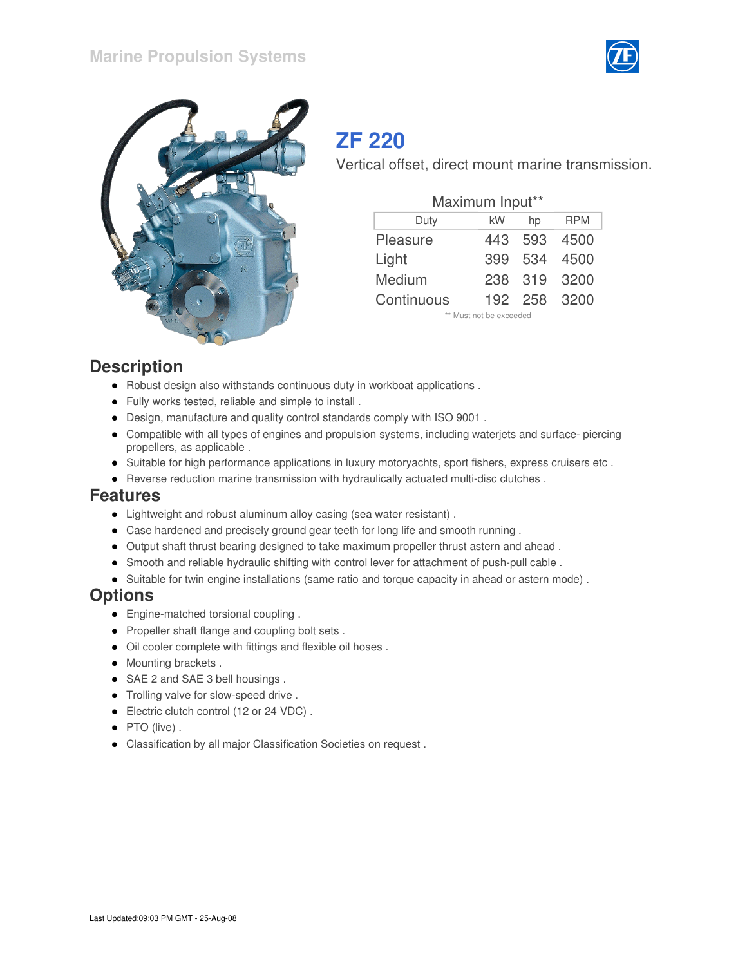



# **ZF 220**

Vertical offset, direct mount marine transmission.

| Maximum Input** |     |         |                         |  |  |  |  |  |  |  |  |  |
|-----------------|-----|---------|-------------------------|--|--|--|--|--|--|--|--|--|
| Duty            | kW  | hp      | <b>RPM</b>              |  |  |  |  |  |  |  |  |  |
| Pleasure        | 443 | 593     | 4500                    |  |  |  |  |  |  |  |  |  |
| Light           | 399 | 534     | 4500                    |  |  |  |  |  |  |  |  |  |
| Medium          | 238 | 319     | 3200                    |  |  |  |  |  |  |  |  |  |
| Continuous      |     | 192 258 | 3200                    |  |  |  |  |  |  |  |  |  |
|                 |     |         | ** Must not be exceeded |  |  |  |  |  |  |  |  |  |

#### **Description**

- Robust design also withstands continuous duty in workboat applications .
- Fully works tested, reliable and simple to install .
- Design, manufacture and quality control standards comply with ISO 9001 .
- Compatible with all types of engines and propulsion systems, including waterjets and surface- piercing propellers, as applicable .
- Suitable for high performance applications in luxury motoryachts, sport fishers, express cruisers etc .
- Reverse reduction marine transmission with hydraulically actuated multi-disc clutches.

#### **Features**

- Lightweight and robust aluminum alloy casing (sea water resistant) .
- Case hardened and precisely ground gear teeth for long life and smooth running .
- Output shaft thrust bearing designed to take maximum propeller thrust astern and ahead .
- Smooth and reliable hydraulic shifting with control lever for attachment of push-pull cable.
- Suitable for twin engine installations (same ratio and torque capacity in ahead or astern mode) .

## **Options**

- Engine-matched torsional coupling.
- Propeller shaft flange and coupling bolt sets.
- Oil cooler complete with fittings and flexible oil hoses .
- Mounting brackets.
- SAE 2 and SAE 3 bell housings.
- Trolling valve for slow-speed drive.
- Electric clutch control (12 or 24 VDC) .
- PTO (live).
- Classification by all major Classification Societies on request .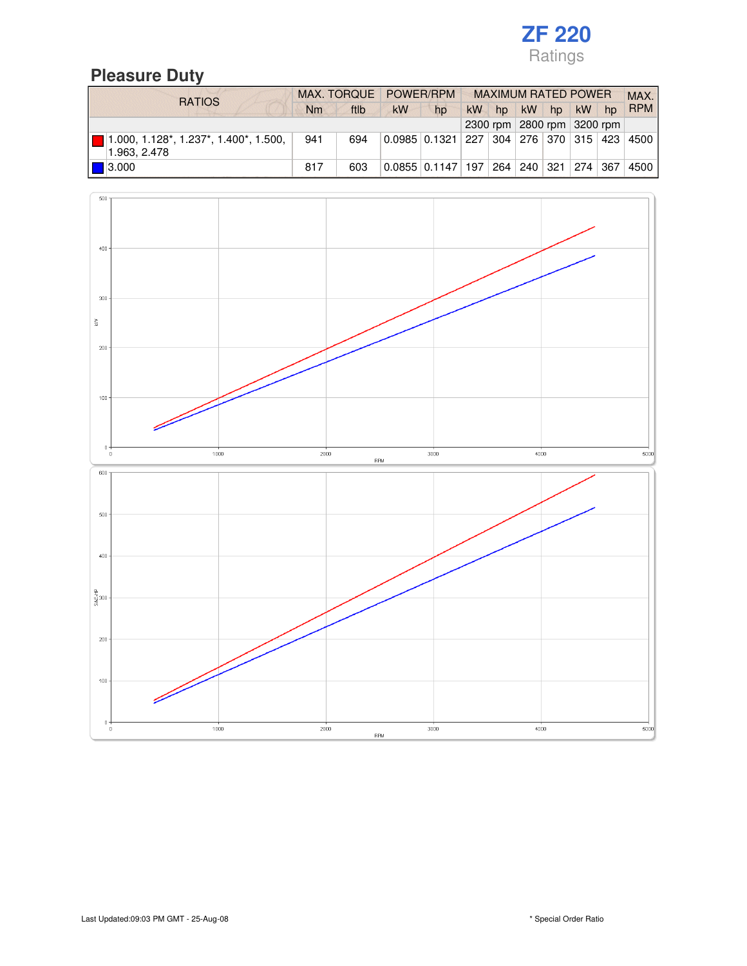# **Pleasure Duty**

| <b>RATIOS</b>                                                                       |                            |      | MAX. TORQUE POWER/RPM                                                  |                                                     | <b>MAXIMUM RATED POWER</b> |    |           |    |         |  | MAX.       |
|-------------------------------------------------------------------------------------|----------------------------|------|------------------------------------------------------------------------|-----------------------------------------------------|----------------------------|----|-----------|----|---------|--|------------|
|                                                                                     | Nm                         | ftlb | <b>kW</b>                                                              | hp                                                  | kW                         | hp | <b>kW</b> | hp | $kW$ hp |  | <b>RPM</b> |
|                                                                                     | 2300 rpm 2800 rpm 3200 rpm |      |                                                                        |                                                     |                            |    |           |    |         |  |            |
| $1.000, 1.128^*$ , 1.237 <sup>*</sup> , 1.400 <sup>*</sup> , 1.500,<br>1.963, 2.478 | 941                        | 694  | <u>   0.0985   0.1321   227   304   276   370   315   423   4500  </u> |                                                     |                            |    |           |    |         |  |            |
| $\blacksquare$ 3.000                                                                | 817                        | 603  |                                                                        | 0.0855   0.1147   197   264   240   321   274   367 |                            |    |           |    |         |  | 4500       |

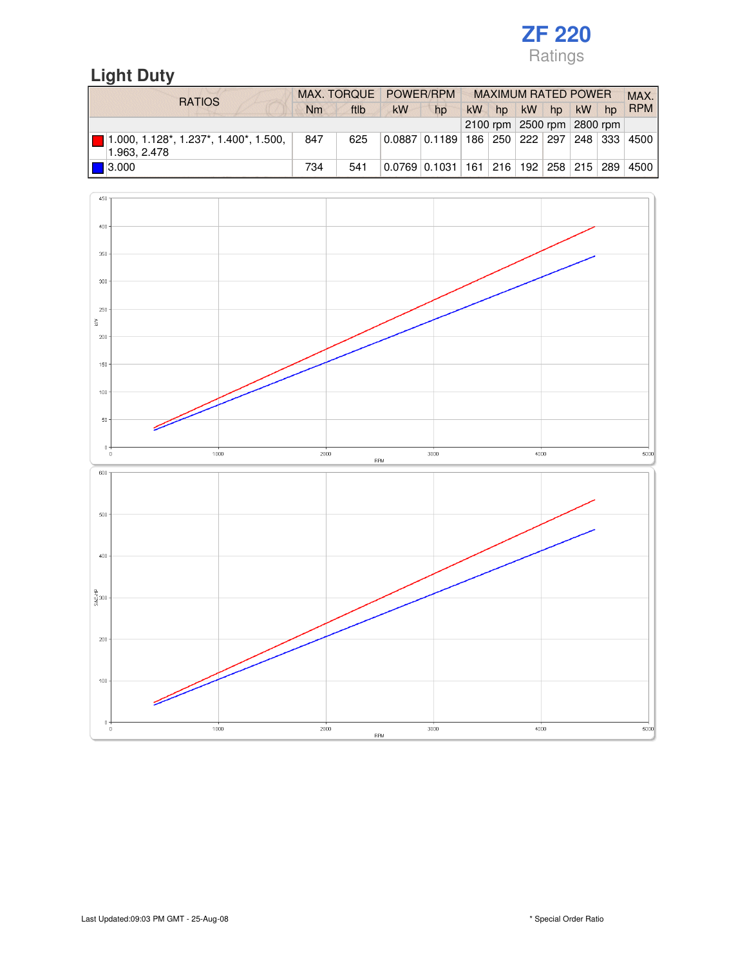# **Light Duty**

| <b>RATIOS</b>                                                          | MAX. TORQUE POWER/RPM |      |                                                     |                                                           | <b>MAXIMUM RATED POWER</b> |    |           |                            |           |                  | MAX.       |
|------------------------------------------------------------------------|-----------------------|------|-----------------------------------------------------|-----------------------------------------------------------|----------------------------|----|-----------|----------------------------|-----------|------------------|------------|
|                                                                        | Nm                    | ftlb | <b>kW</b>                                           | hp                                                        | kW                         | hp | <b>kW</b> | hp                         | <b>kW</b> | $h_{\mathsf{D}}$ | <b>RPM</b> |
|                                                                        |                       |      |                                                     |                                                           |                            |    |           | 2100 rpm 2500 rpm 2800 rpm |           |                  |            |
| $\blacksquare$ 1.000, 1.128*, 1.237*, 1.400*, 1.500, 1<br>1.963, 2.478 | 847                   | 625  | 0.0887   0.1189   186   250   222   297   248   333 |                                                           |                            |    |           |                            |           |                  | 4500       |
| $\blacksquare$ 3.000                                                   | 734                   | 541  |                                                     | $0.0769$ $0.1031$ $161$ $216$ $192$ $258$ $215$ $289$ $1$ |                            |    |           |                            |           |                  | 4500       |

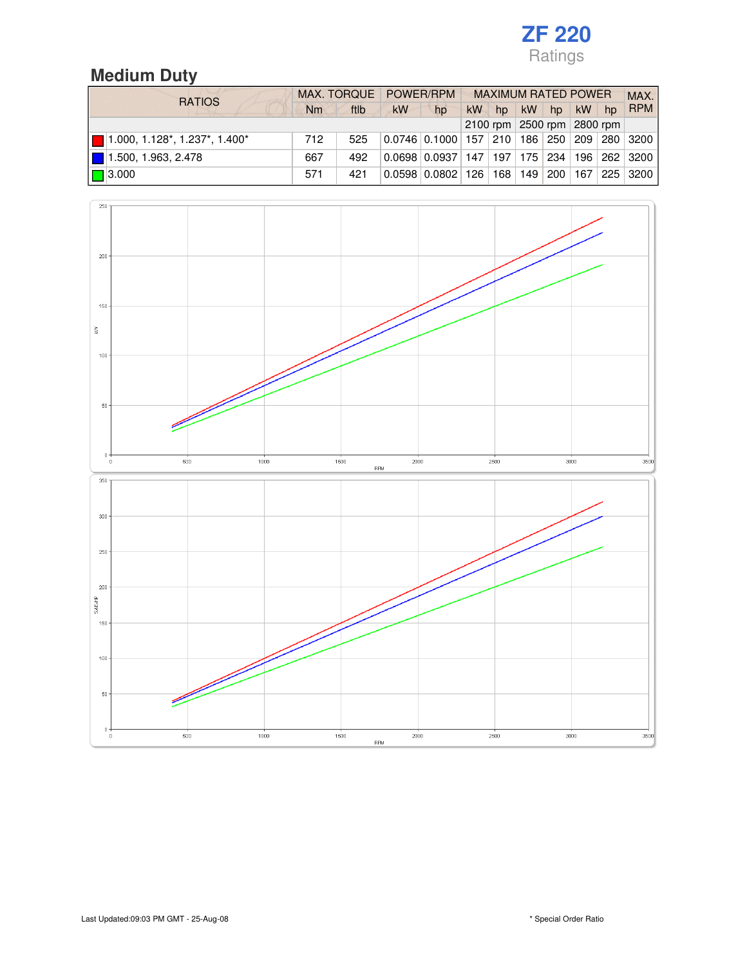# **Medium Duty**

| <b>RATIOS</b>                                |     |      | MAX. TORQUE POWER/RPM      |                                                              | <b>MAXIMUM RATED POWER</b> |    |           |    |         |  | MAX.       |
|----------------------------------------------|-----|------|----------------------------|--------------------------------------------------------------|----------------------------|----|-----------|----|---------|--|------------|
|                                              | Nm  | ftlb | <b>kW</b>                  | hp                                                           | <b>kW</b>                  | hp | <b>kW</b> | hp | $kW$ hp |  | <b>RPM</b> |
|                                              |     |      | 2100 rpm 2500 rpm 2800 rpm |                                                              |                            |    |           |    |         |  |            |
| $\blacksquare$ 1.000, 1.128*, 1.237*, 1.400* | 712 | 525  |                            | $0.0746$ $0.1000$ $157$ $210$ $186$ $250$ $209$ $280$ $3200$ |                            |    |           |    |         |  |            |
| 1.500, 1.963, 2.478                          | 667 | 492  |                            | $0.0698$ $0.0937$   147   197   175   234   196   262   3200 |                            |    |           |    |         |  |            |
| $\blacksquare$ 3.000                         | 571 | 421  |                            | $0.0598$   0.0802   126   168   149   200   167   225   3200 |                            |    |           |    |         |  |            |

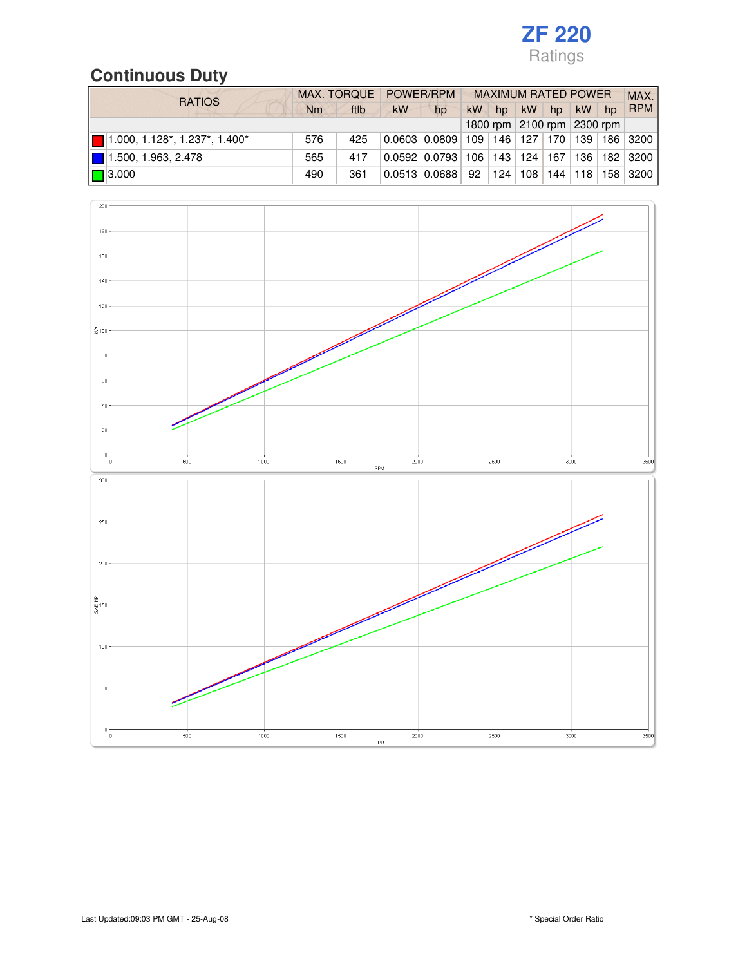# **Continuous Duty**

| <b>RATIOS</b>                  |     |      | MAX. TORQUE POWER/RPM      |                                                             | <b>MAXIMUM RATED POWER</b> |     |           |    |    |       | MAX.                                     |
|--------------------------------|-----|------|----------------------------|-------------------------------------------------------------|----------------------------|-----|-----------|----|----|-------|------------------------------------------|
|                                | Nm  | ftlb | <b>kW</b>                  | hp                                                          | <b>kW</b>                  | hp  | <b>kW</b> | hp | kW | $h$ p | <b>RPM</b>                               |
|                                |     |      | 1800 rpm 2100 rpm 2300 rpm |                                                             |                            |     |           |    |    |       |                                          |
| $1.000, 1.128, 1.237, 1.400$ * | 576 | 425  |                            | $0.0603 \mid 0.0809 \mid$                                   |                            |     |           |    |    |       | 109   146   127   170   139   186   3200 |
| 1.500, 1.963, 2.478            | 565 | 417  |                            | 「0.0592   0.0793   106   143   124   167   136   182   3200 |                            |     |           |    |    |       |                                          |
| $\Box$ 3.000                   | 490 | 361  |                            | $0.0513$ 0.0688                                             | 92                         | 124 | 108       |    |    |       | 144   118   158   3200                   |

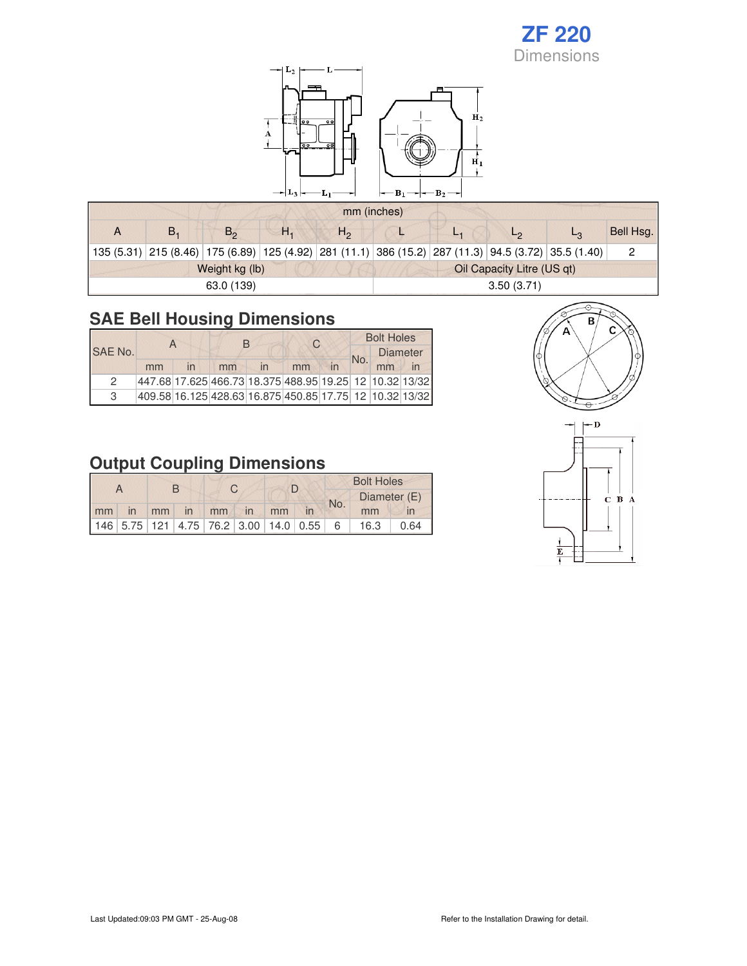

| mm (inches) |                |    |              |                            |     |              |                                                                                                      |           |  |  |  |  |
|-------------|----------------|----|--------------|----------------------------|-----|--------------|------------------------------------------------------------------------------------------------------|-----------|--|--|--|--|
| В,          | $B_{\alpha}$   | Н. | $H_{\alpha}$ |                            | L 4 | $L_{\Omega}$ |                                                                                                      | Bell Hsg. |  |  |  |  |
|             |                |    |              |                            |     |              | 135 (5.31) 215 (8.46) 175 (6.89) 125 (4.92) 281 (11.1) 386 (15.2) 287 (11.3) 94.5 (3.72) 35.5 (1.40) |           |  |  |  |  |
|             | Weight kg (lb) |    |              | Oil Capacity Litre (US qt) |     |              |                                                                                                      |           |  |  |  |  |
|             | 63.0 (139)     |    |              | 3.50(3.71)                 |     |              |                                                                                                      |           |  |  |  |  |

# **SAE Bell Housing Dimensions**

| SAE No.       |    |                         | R                                                         |                         | C  | <b>Bolt Holes</b> |                 |  |  |
|---------------|----|-------------------------|-----------------------------------------------------------|-------------------------|----|-------------------|-----------------|--|--|
|               |    |                         |                                                           |                         |    | No.               | <b>Diameter</b> |  |  |
|               | mm | $\overline{\mathsf{I}}$ | mm                                                        | $\overline{\mathsf{I}}$ | mm |                   | mm              |  |  |
| $\mathcal{P}$ |    |                         | 447.68 17.625 466.73 18.375 488.95 19.25 12 10.32 13/32   |                         |    |                   |                 |  |  |
| 3             |    |                         | 409.58 16.125 428.63 16.875 450.85 17.75  12  10.32 13/32 |                         |    |                   |                 |  |  |



| A  |                   | R    |                                                           |  |               |    |  | <b>Bolt Holes</b> |              |      |  |
|----|-------------------|------|-----------------------------------------------------------|--|---------------|----|--|-------------------|--------------|------|--|
|    |                   |      |                                                           |  |               |    |  |                   | Diameter (E) |      |  |
| mm | $\blacksquare$ in | mm V | $\ln$ mm                                                  |  | $\mathsf{in}$ | mm |  | No.               | mm           |      |  |
|    |                   |      | $146$   5.75   121   4.75   76.2   3.00   14.0   0.55   6 |  |               |    |  |                   | 16.3         | 0.64 |  |